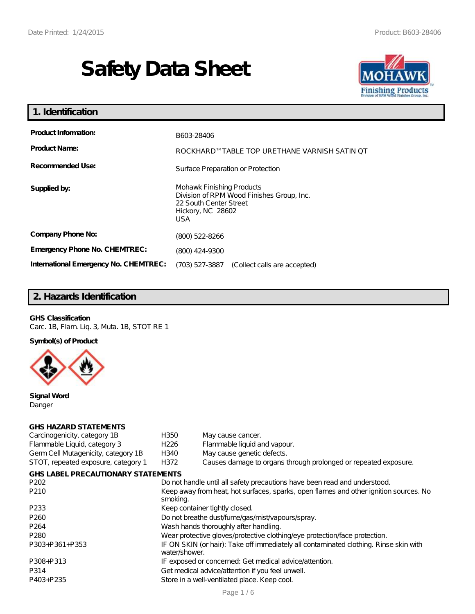# **Safety Data Sheet**



| 1. Identification                                   |                                                                                                                              |  |
|-----------------------------------------------------|------------------------------------------------------------------------------------------------------------------------------|--|
| <b>Product Information:</b><br><b>Product Name:</b> | B603-28406<br>ROCKHARD™TABLE TOP URETHANE VARNISH SATIN OT                                                                   |  |
| Recommended Use:                                    | Surface Preparation or Protection                                                                                            |  |
| Supplied by:                                        | Mohawk Finishing Products<br>Division of RPM Wood Finishes Group, Inc.<br>22 South Center Street<br>Hickory, NC 28602<br>USA |  |
| Company Phone No:                                   | (800) 522-8266                                                                                                               |  |
| <b>Emergency Phone No. CHEMTREC:</b>                | (800) 424-9300                                                                                                               |  |
| International Emergency No. CHEMTREC:               | (703) 527-3887 (Collect calls are accepted)                                                                                  |  |

# **2. Hazards Identification**

#### **GHS Classification**

Carc. 1B, Flam. Liq. 3, Muta. 1B, STOT RE 1

**Symbol(s) of Product**



**Signal Word** Danger

#### **GHS HAZARD STATEMENTS**

| Carcinogenicity, category 1B              | H350                                                                                                   | May cause cancer.                                                          |  |  |
|-------------------------------------------|--------------------------------------------------------------------------------------------------------|----------------------------------------------------------------------------|--|--|
| Flammable Liquid, category 3              | H <sub>226</sub>                                                                                       | Flammable liquid and vapour.                                               |  |  |
| Germ Cell Mutagenicity, category 1B       | H340                                                                                                   | May cause genetic defects.                                                 |  |  |
| STOT, repeated exposure, category 1       | H372                                                                                                   | Causes damage to organs through prolonged or repeated exposure.            |  |  |
| <b>GHS LABEL PRECAUTIONARY STATEMENTS</b> |                                                                                                        |                                                                            |  |  |
| P <sub>202</sub>                          |                                                                                                        | Do not handle until all safety precautions have been read and understood.  |  |  |
| P210                                      | Keep away from heat, hot surfaces, sparks, open flames and other ignition sources. No<br>smoking.      |                                                                            |  |  |
| P <sub>233</sub>                          | Keep container tightly closed.                                                                         |                                                                            |  |  |
| P <sub>260</sub>                          | Do not breathe dust/fume/gas/mist/vapours/spray.                                                       |                                                                            |  |  |
| P <sub>264</sub>                          | Wash hands thoroughly after handling.                                                                  |                                                                            |  |  |
| P <sub>280</sub>                          |                                                                                                        | Wear protective gloves/protective clothing/eye protection/face protection. |  |  |
| P303+P361+P353                            | IF ON SKIN (or hair): Take off immediately all contaminated clothing. Rinse skin with<br>water/shower. |                                                                            |  |  |
| P308+P313                                 | IF exposed or concerned: Get medical advice/attention.                                                 |                                                                            |  |  |
| P314                                      | Get medical advice/attention if you feel unwell.                                                       |                                                                            |  |  |
| P403+P235                                 |                                                                                                        | Store in a well-ventilated place. Keep cool.                               |  |  |
|                                           |                                                                                                        |                                                                            |  |  |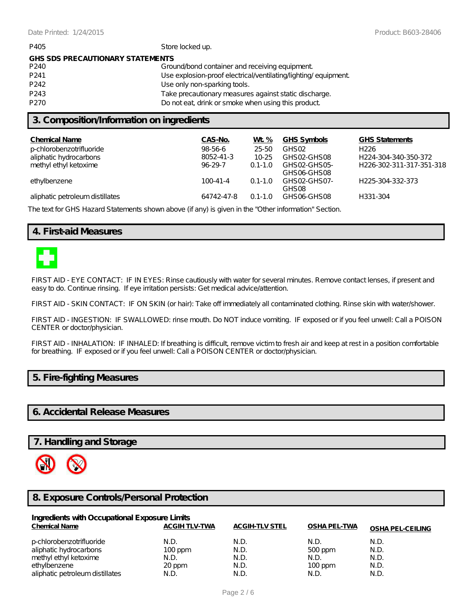| P405                                    | Store locked up.                                              |  |  |  |
|-----------------------------------------|---------------------------------------------------------------|--|--|--|
| <b>GHS SDS PRECAUTIONARY STATEMENTS</b> |                                                               |  |  |  |
| P <sub>240</sub>                        | Ground/bond container and receiving equipment                 |  |  |  |
| P <sub>241</sub>                        | Use explosion-proof electrical/ventilating/lighting/equipment |  |  |  |
| P <sub>242</sub>                        | Use only non-sparking tools.                                  |  |  |  |
| P <sub>243</sub>                        | Take precautionary measures against static discharge.         |  |  |  |
| P <sub>270</sub>                        | Do noteat, drink or smoke when using this product             |  |  |  |
|                                         |                                                               |  |  |  |

## **3. Composition/Information on ingredients**

| CAS-No.        | Wt %        | GHS Symbols       | <b>GHS Statements</b>    |
|----------------|-------------|-------------------|--------------------------|
| 98-56-6        | 25-50       | GHS <sub>02</sub> | H <sub>226</sub>         |
| 8052-41-3      | 10-25       | GHSO2-GHSO8       | H224-304-340-350-372     |
| $96-29-7$      | $0.1 - 1.0$ | GHSO2-GHSO5-      | H226-302-311-317-351-318 |
|                |             | GHSO6-GHSO8       |                          |
| $100 - 41 - 4$ | $0.1 - 1.0$ | GHSO2-GHSO7-      | H225-304-332-373         |
|                |             | GHSO <sub>8</sub> |                          |
| 64742-47-8     | $0.1 - 1.0$ |                   | H331-304                 |
|                |             |                   | GHSO6-GHSO8              |

The text for GHS Hazard Statements shown above (if any) is given in the "Other information" Section.

## **4. First-aid Measures**



FIRST AID - EYE CONTACT: IF IN EYES: Rinse cautiously with water for several minutes. Remove contact lenses, if present and easy to do. Continue rinsing. If eye irritation persists: Get medical advice/attention.

FIRST AID - SKIN CONTACT: IF ON SKIN (or hair): Take off immediately all contaminated clothing. Rinse skin with water/shower.

FIRST AID - INGESTION: IF SWALLOWED: rinse mouth. Do NOT induce vomiting. IF exposed or if you feel unwell: Call a POISON CENTER or doctor/physician.

FIRST AID - INHALATION: IF INHALED: If breathing is difficult, remove victim to fresh air and keep at rest in a position comfortable for breathing. IF exposed or if you feel unwell: Call a POISON CENTER or doctor/physician.

## **5. Fire-fighting Measures**

## **6. Accidental Release Measures**

## **7. Handling and Storage**



### **8. Exposure Controls/Personal Protection**

| Ingredients with Occupational Exposure Limits |                      |                       |                     |                         |  |
|-----------------------------------------------|----------------------|-----------------------|---------------------|-------------------------|--|
| <b>Chemical Name</b>                          | <b>ACGIH TLV-TWA</b> | <b>ACGIH-TLV STEL</b> | <b>OSHA PEL-TWA</b> | <b>OSHA PEL-CEILING</b> |  |
| p-chlorobenzotrifluoride                      | N.D.                 | N.D.                  | N.D.                | N.D.                    |  |
| aliphatic hydrocarbons                        | $100$ ppm            | N.D.                  | 500 ppm             | N.D.                    |  |
| methyl ethyl ketoxime                         | N.D.                 | N.D.                  | N.D.                | N.D.                    |  |
| ethylbenzene                                  | 20 ppm               | N.D.                  | $100$ ppm           | N.D.                    |  |
| aliphatic petroleum distillates               | N.D.                 | N.D.                  | N.D.                | N.D.                    |  |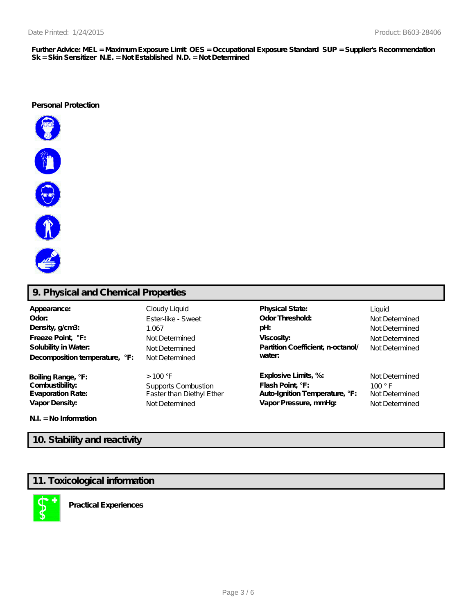**Further Advice: MEL = Maximum Exposure Limit OES = Occupational Exposure Standard SUP = Supplier's Recommendation Sk = Skin Sensitizer N.E. = Not Established N.D. = Not Determined**

#### **Personal Protection**



# **9. Physical and Chemical Properties**

| Appearance:<br>Odor:<br>Density, g/cm3:<br>Freeze Point, °F:<br>Solubility in Water:<br>Decomposition temperature, °F: | Cloudy Liquid<br>Ester-like - Sweet<br>1.067<br>Not Determined<br>Not Determined<br>Not Determined | <b>Physical State:</b><br><b>Odor Threshold:</b><br>pH:<br>Viscosity:<br>Partition Coefficient, n-octanol/<br>water: | Liquid<br>Not Determined<br>Not Determined<br>Not Determined<br>Not Determined |
|------------------------------------------------------------------------------------------------------------------------|----------------------------------------------------------------------------------------------------|----------------------------------------------------------------------------------------------------------------------|--------------------------------------------------------------------------------|
| Boiling Range, °F:                                                                                                     | $>100$ °F                                                                                          | Explosive Limits, %:                                                                                                 | Not Determined                                                                 |
| Combustibility:                                                                                                        | Supports Combustion                                                                                | Flash Point, °F:                                                                                                     | $100°$ F                                                                       |
| <b>Evaporation Rate:</b>                                                                                               | Faster than Diethyl E ther                                                                         | Auto-Ignition Temperature, °F:                                                                                       | Not Determined                                                                 |
| Vapor Density:                                                                                                         | Not Determined                                                                                     | Vapor Pressure, mmHg:                                                                                                | Not Determined                                                                 |

**N.I. = No Information**

# **10. Stability and reactivity**

## **11. Toxicological information**



**Practical Experiences**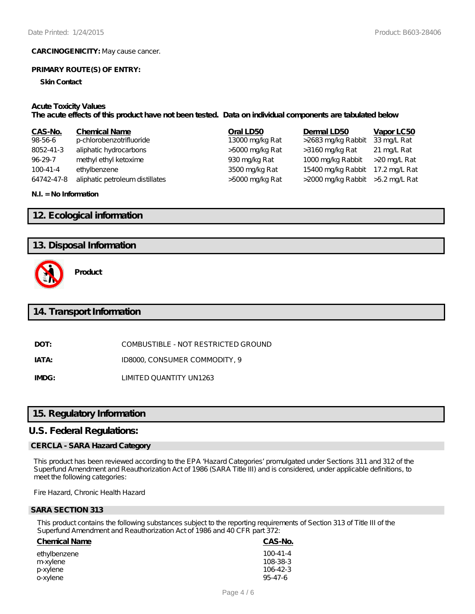**CARCINOGENICITY:** May cause cancer.

#### **PRIMARY ROUTE(S) OF ENTRY:**

**Skin Contact**

#### **Acute Toxicity Values**

**The acute effects of this product have not been tested. Data on individual components are tabulated below**

| CAS-No.    | <b>Chemical Name</b>            | Oral LD50       | Dermal LD50                       | Vapor LC50    |
|------------|---------------------------------|-----------------|-----------------------------------|---------------|
| 98-56-6    | p-chlorobenzotrifluoride        | 13000 mg/kg Rat | >2683 mg/kg Rabbit                | 33 mg/L Rat   |
| 8052-41-3  | aliphatic hydrocarbons          | >5000 mg/kg Rat | >3160 mg/kg Rat                   | 21 mg/L Rat   |
| 96-29-7    | methyl ethyl ketoxime           | 930 mg/kg Rat   | 1000 mg/kg Rabbit                 | >20 mg/L Rat  |
| $100-41-4$ | ethylbenzene                    | 3500 mg/kg Rat  | 15400 mg/kg Rabbit                | 17.2 mg/L Rat |
| 64742-47-8 | aliphatic petroleum distillates | >5000 mg/kg Rat | >2000 mg/kg Rabbit > 5.2 mg/L Rat |               |

#### **N.I. = No Information**

## **12. Ecological information**

## **13. Disposal Information**



**Product**

## **14. Transport Information**

**DOT:** COMBUSTIBLE - NOT RESTRICTED GROUND

**IATA:** ID8000, CONSUMER COMMODITY, 9

**IMDG:** LIMITED QUANTITY UN1263

## **15. Regulatory Information**

#### **U.S. Federal Regulations:**

#### **CERCLA - SARA Hazard Category**

This product has been reviewed according to the EPA 'Hazard Categories' promulgated under Sections 311 and 312 of the Superfund Amendment and Reauthorization Act of 1986 (SARA Title III) and is considered, under applicable definitions, to meet the following categories:

Fire Hazard, Chronic Health Hazard

#### **SARA SECTION 313**

This product contains the following substances subject to the reporting requirements of Section 313 of Title III of the Superfund Amendment and Reauthorization Act of 1986 and 40 CFR part 372:

#### **Chemical Name CAS-No.**

ethylbenzene 100-41-4<br>m-xvlene 108-38-3 m-xylene 108-38-3<br>
n-xylene 106-42-3 p-xylene 106-42-3 o-xylene 95-47-6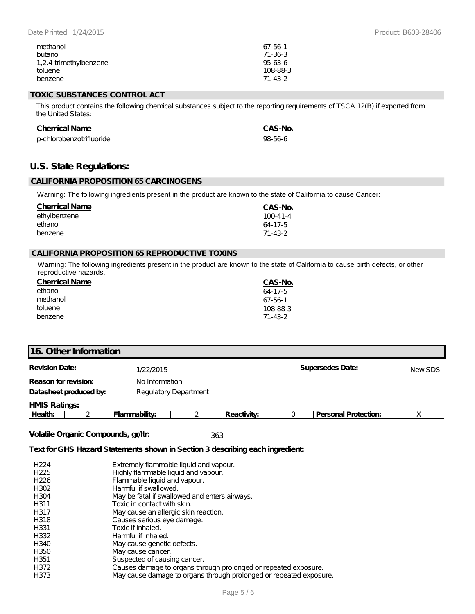| methanol               | 67-56-1       |
|------------------------|---------------|
| butanol                | $71 - 36 - 3$ |
| 1,2,4-trimethylbenzene | $95-63-6$     |
| toluene                | 108-88-3      |
| benzene                | $71 - 43 - 2$ |

### **TOXIC SUBSTANCES CONTROL ACT**

This product contains the following chemical substances subject to the reporting requirements of TSCA 12(B) if exported from the United States:

#### **Chemical Name CAS-No.**

| p-chlorobenzotrifluoride | 98-56-6 |
|--------------------------|---------|
|--------------------------|---------|

## **U.S. State Regulations:**

#### **CALIFORNIA PROPOSITION 65 CARCINOGENS**

Warning: The following ingredients present in the product are known to the state of California to cause Cancer:

| <b>Chemical Name</b> | CAS-No.        |
|----------------------|----------------|
| ethylbenzene         | $100 - 41 - 4$ |
| ethanol              | $64-17-5$      |
| benzene              | 71-43-2        |

## **CALIFORNIA PROPOSITION 65 REPRODUCTIVE TOXINS**

Warning: The following ingredients present in the product are known to the state of California to cause birth defects, or other reproductive hazards.

| <b>Chemical Name</b> | CAS-No.       |
|----------------------|---------------|
| ethanol              | $64-17-5$     |
| methanol             | $67 - 56 - 1$ |
| toluene              | 108-88-3      |
| benzene              | $71 - 43 - 2$ |

## **16. Other Information**

| <b>Revision Date:</b>  | 1/22/2015             | Supersedes Date: | NewSDS |
|------------------------|-----------------------|------------------|--------|
| Reason for revision:   | No Information        |                  |        |
| Datasheet produced by: | Regulatory Department |                  |        |
| <b>HMS Ratings:</b>    |                       |                  |        |

# **Health:** 2 **Flammability:** 2 **Reactivity:** 0 **Personal Protection:** X

**Volatile Organic Compounds, gr/ltr:** 363

#### **Text for GHS Hazard Statements shown in Section 3 describing each ingredient:**

| H <sub>224</sub> | Extremely flammable liquid and vapour.                             |
|------------------|--------------------------------------------------------------------|
| H <sub>225</sub> | Highly flammable liquid and vapour.                                |
| H <sub>226</sub> | Flammable liquid and vapour.                                       |
| H302             | Harmful if swallowed.                                              |
| H <sub>304</sub> | May be fatal if swallowed and enters airways.                      |
| H311             | Toxic in contact with skin.                                        |
| H317             | May cause an allergic skin reaction.                               |
| H318             | Causes serious eye damage.                                         |
| H331             | Toxic if inhaled.                                                  |
| H332             | Harmful if inhaled.                                                |
| H340             | May cause genetic defects.                                         |
| H350             | May cause cancer.                                                  |
| H351             | Suspected of causing cancer.                                       |
| H372             | Causes damage to organs through prolonged or repeated exposure.    |
| H373             | May cause damage to organs through prolonged or repeated exposure. |